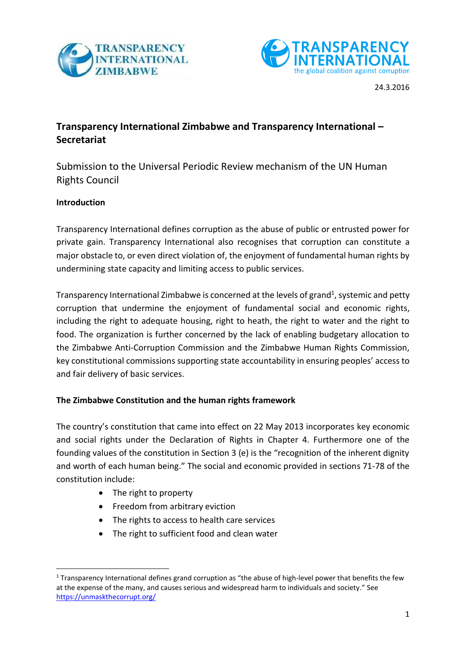



# **Transparency International Zimbabwe and Transparency International – Secretariat**

Submission to the Universal Periodic Review mechanism of the UN Human Rights Council

# **Introduction**

Transparency International defines corruption as the abuse of public or entrusted power for private gain. Transparency International also recognises that corruption can constitute a major obstacle to, or even direct violation of, the enjoyment of fundamental human rights by undermining state capacity and limiting access to public services.

Transparency International Zimbabwe is concerned at the levels of grand<sup>1</sup>, systemic and petty corruption that undermine the enjoyment of fundamental social and economic rights, including the right to adequate housing, right to heath, the right to water and the right to food. The organization is further concerned by the lack of enabling budgetary allocation to the Zimbabwe Anti-Corruption Commission and the Zimbabwe Human Rights Commission, key constitutional commissions supporting state accountability in ensuring peoples' access to and fair delivery of basic services.

# **The Zimbabwe Constitution and the human rights framework**

The country's constitution that came into effect on 22 May 2013 incorporates key economic and social rights under the Declaration of Rights in Chapter 4. Furthermore one of the founding values of the constitution in Section 3 (e) is the "recognition of the inherent dignity and worth of each human being." The social and economic provided in sections 71-78 of the constitution include:

- The right to property
- Freedom from arbitrary eviction
- The rights to access to health care services
- The right to sufficient food and clean water

**<sup>.</sup>**  $1$  Transparency International defines grand corruption as "the abuse of high-level power that benefits the few at the expense of the many, and causes serious and widespread harm to individuals and society." See <https://unmaskthecorrupt.org/>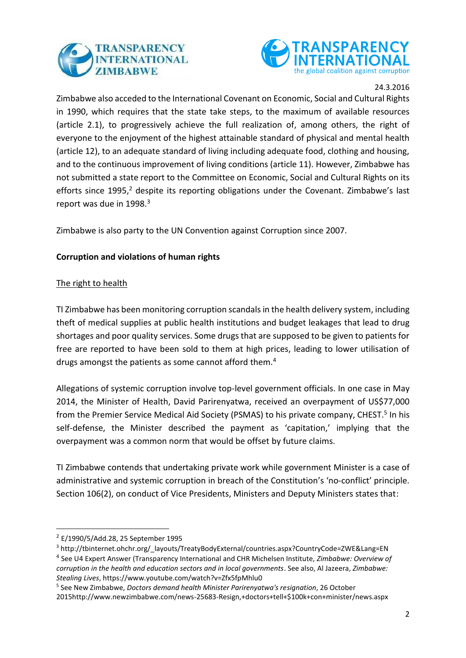



Zimbabwe also acceded to the International Covenant on Economic, Social and Cultural Rights in 1990, which requires that the state take steps, to the maximum of available resources (article 2.1), to progressively achieve the full realization of, among others, the right of everyone to the enjoyment of the highest attainable standard of physical and mental health (article 12), to an adequate standard of living including adequate food, clothing and housing, and to the continuous improvement of living conditions (article 11). However, Zimbabwe has not submitted a state report to the Committee on Economic, Social and Cultural Rights on its efforts since 1995, $2$  despite its reporting obligations under the Covenant. Zimbabwe's last report was due in 1998.<sup>3</sup>

Zimbabwe is also party to the UN Convention against Corruption since 2007.

# **Corruption and violations of human rights**

### The right to health

TI Zimbabwe has been monitoring corruption scandals in the health delivery system, including theft of medical supplies at public health institutions and budget leakages that lead to drug shortages and poor quality services. Some drugs that are supposed to be given to patients for free are reported to have been sold to them at high prices, leading to lower utilisation of drugs amongst the patients as some cannot afford them.<sup>4</sup>

Allegations of systemic corruption involve top-level government officials. In one case in May 2014, the Minister of Health, David Parirenyatwa, received an overpayment of US\$77,000 from the Premier Service Medical Aid Society (PSMAS) to his private company, CHEST.<sup>5</sup> In his self-defense, the Minister described the payment as 'capitation,' implying that the overpayment was a common norm that would be offset by future claims.

TI Zimbabwe contends that undertaking private work while government Minister is a case of administrative and systemic corruption in breach of the Constitution's 'no-conflict' principle. Section 106(2), on conduct of Vice Presidents, Ministers and Deputy Ministers states that:

**.** 

<sup>3</sup> http://tbinternet.ohchr.org/\_layouts/TreatyBodyExternal/countries.aspx?CountryCode=ZWE&Lang=EN

<sup>2</sup> E/1990/5/Add.28, 25 September 1995

<sup>4</sup> See U4 Expert Answer (Transparency International and CHR Michelsen Institute, *Zimbabwe: Overview of corruption in the health and education sectors and in local governments*. See also, Al Jazeera, *Zimbabwe: Stealing Lives*, https://www.youtube.com/watch?v=Zfx5fpMhlu0

<sup>5</sup> See New Zimbabwe, *Doctors demand health Minister Parirenyatwa's resignation*, 26 October 2015http://www.newzimbabwe.com/news-25683-Resign,+doctors+tell+\$100k+con+minister/news.aspx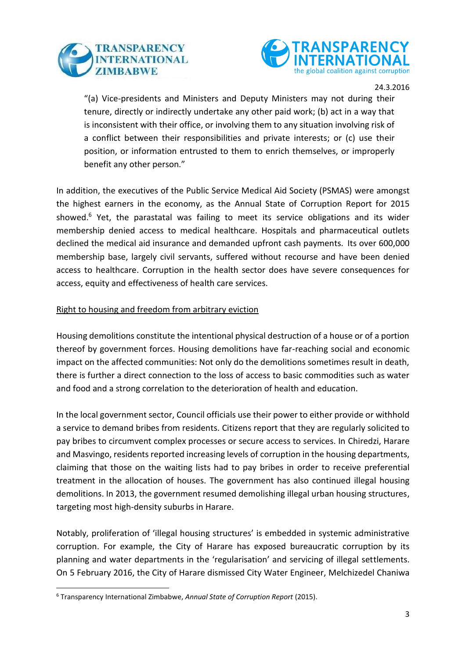



"(a) Vice-presidents and Ministers and Deputy Ministers may not during their tenure, directly or indirectly undertake any other paid work; (b) act in a way that is inconsistent with their office, or involving them to any situation involving risk of a conflict between their responsibilities and private interests; or (c) use their position, or information entrusted to them to enrich themselves, or improperly benefit any other person."

In addition, the executives of the Public Service Medical Aid Society (PSMAS) were amongst the highest earners in the economy, as the Annual State of Corruption Report for 2015 showed.<sup>6</sup> Yet, the parastatal was failing to meet its service obligations and its wider membership denied access to medical healthcare. Hospitals and pharmaceutical outlets declined the medical aid insurance and demanded upfront cash payments. Its over 600,000 membership base, largely civil servants, suffered without recourse and have been denied access to healthcare. Corruption in the health sector does have severe consequences for access, equity and effectiveness of health care services.

### Right to housing and freedom from arbitrary eviction

Housing demolitions constitute the intentional physical destruction of a house or of a portion thereof by government forces. Housing demolitions have far-reaching social and economic impact on the affected communities: Not only do the demolitions sometimes result in death, there is further a direct connection to the loss of access to basic commodities such as water and food and a strong correlation to the deterioration of health and education.

In the local government sector, Council officials use their power to either provide or withhold a service to demand bribes from residents. Citizens report that they are regularly solicited to pay bribes to circumvent complex processes or secure access to services. In Chiredzi, Harare and Masvingo, residents reported increasing levels of corruption in the housing departments, claiming that those on the waiting lists had to pay bribes in order to receive preferential treatment in the allocation of houses. The government has also continued illegal housing demolitions. In 2013, the government resumed demolishing illegal urban housing structures, targeting most high-density suburbs in Harare.

Notably, proliferation of 'illegal housing structures' is embedded in systemic administrative corruption. For example, the City of Harare has exposed bureaucratic corruption by its planning and water departments in the 'regularisation' and servicing of illegal settlements. On 5 February 2016, the City of Harare dismissed City Water Engineer, Melchizedel Chaniwa

**.** 

<sup>6</sup> Transparency International Zimbabwe, *Annual State of Corruption Report* (2015).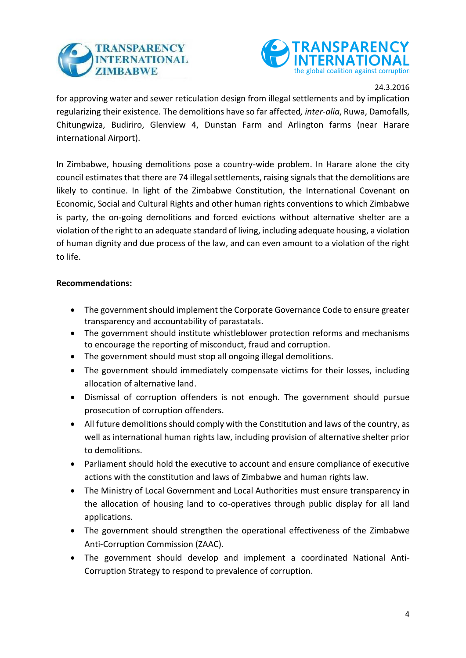



for approving water and sewer reticulation design from illegal settlements and by implication regularizing their existence. The demolitions have so far affected*, inter-alia*, Ruwa, Damofalls, Chitungwiza, Budiriro, Glenview 4, Dunstan Farm and Arlington farms (near Harare international Airport).

In Zimbabwe, housing demolitions pose a country-wide problem. In Harare alone the city council estimates that there are 74 illegal settlements, raising signals that the demolitions are likely to continue. In light of the Zimbabwe Constitution, the International Covenant on Economic, Social and Cultural Rights and other human rights conventions to which Zimbabwe is party, the on-going demolitions and forced evictions without alternative shelter are a violation of the right to an adequate standard of living, including adequate housing, a violation of human dignity and due process of the law, and can even amount to a violation of the right to life.

### **Recommendations:**

- The government should implement the Corporate Governance Code to ensure greater transparency and accountability of parastatals.
- The government should institute whistleblower protection reforms and mechanisms to encourage the reporting of misconduct, fraud and corruption.
- The government should must stop all ongoing illegal demolitions.
- The government should immediately compensate victims for their losses, including allocation of alternative land.
- Dismissal of corruption offenders is not enough. The government should pursue prosecution of corruption offenders.
- All future demolitions should comply with the Constitution and laws of the country, as well as international human rights law, including provision of alternative shelter prior to demolitions.
- Parliament should hold the executive to account and ensure compliance of executive actions with the constitution and laws of Zimbabwe and human rights law.
- The Ministry of Local Government and Local Authorities must ensure transparency in the allocation of housing land to co-operatives through public display for all land applications.
- The government should strengthen the operational effectiveness of the Zimbabwe Anti-Corruption Commission (ZAAC).
- The government should develop and implement a coordinated National Anti-Corruption Strategy to respond to prevalence of corruption.